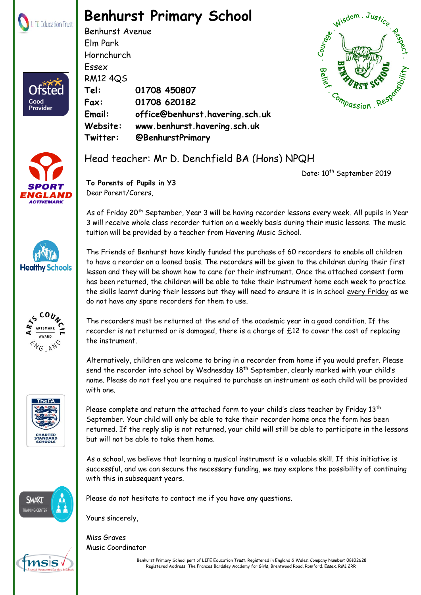

## **Benhurst Primary School**

Benhurst Avenue Elm Park Hornchurch Essex RM12 4QS **Tel: 01708 450807 Fax: 01708 620182 Email: office@benhurst.havering.sch.uk Website: www.benhurst.havering.sch.uk Twitter: @BenhurstPrimary**





Good Provider







Date: 10<sup>th</sup> September 2019

**To Parents of Pupils in Y3** Dear Parent/Carers,

As of Friday 20<sup>th</sup> September, Year 3 will be having recorder lessons every week. All pupils in Year 3 will receive whole class recorder tuition on a weekly basis during their music lessons. The music tuition will be provided by a teacher from Havering Music School.

The Friends of Benhurst have kindly funded the purchase of 60 recorders to enable all children to have a reorder on a loaned basis. The recorders will be given to the children during their first lesson and they will be shown how to care for their instrument. Once the attached consent form has been returned, the children will be able to take their instrument home each week to practice the skills learnt during their lessons but they will need to ensure it is in school every Friday as we do not have any spare recorders for them to use.

The recorders must be returned at the end of the academic year in a good condition. If the recorder is not returned or is damaged, there is a charge of £12 to cover the cost of replacing the instrument.

Alternatively, children are welcome to bring in a recorder from home if you would prefer. Please send the recorder into school by Wednesday 18<sup>th</sup> September, clearly marked with your child's name. Please do not feel you are required to purchase an instrument as each child will be provided with one.

Please complete and return the attached form to your child's class teacher by Friday 13<sup>th</sup> September. Your child will only be able to take their recorder home once the form has been returned. If the reply slip is not returned, your child will still be able to participate in the lessons but will not be able to take them home.

As a school, we believe that learning a musical instrument is a valuable skill. If this initiative is successful, and we can secure the necessary funding, we may explore the possibility of continuing with this in subsequent years.

Please do not hesitate to contact me if you have any questions.

SMART

Yours sincerely,

Miss Graves Music Coordinator